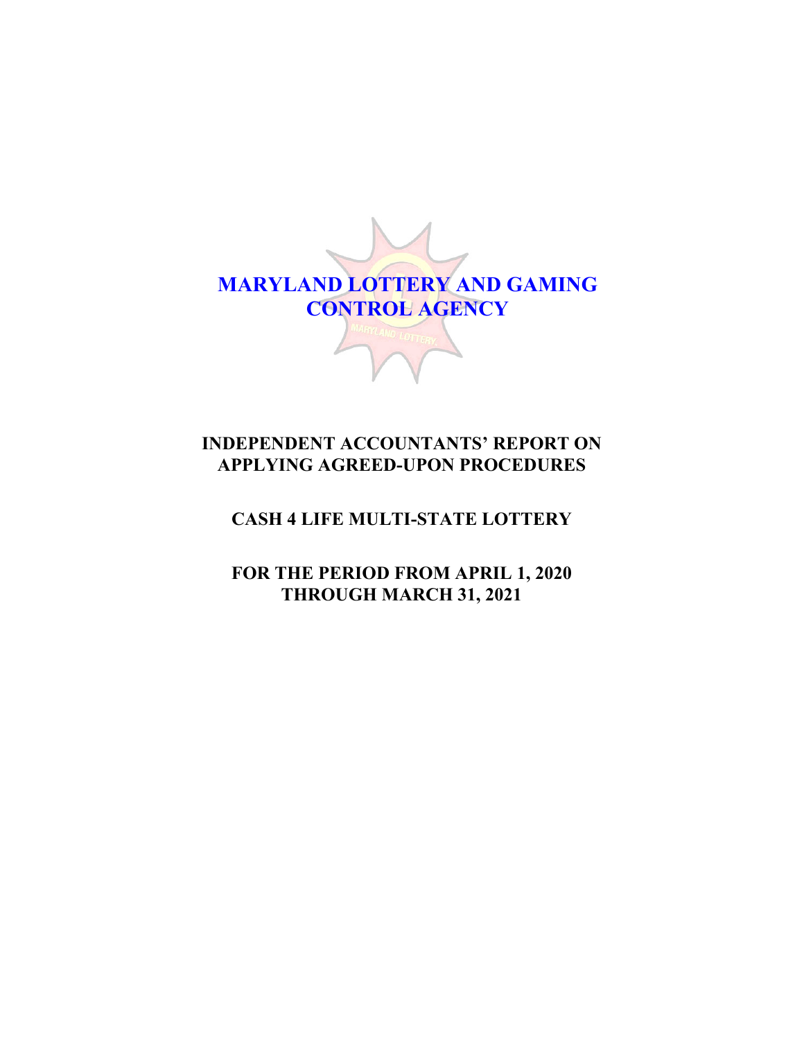

# **INDEPENDENT ACCOUNTANTS' REPORT ON APPLYING AGREED-UPON PROCEDURES**

# **CASH 4 LIFE MULTI-STATE LOTTERY**

**FOR THE PERIOD FROM APRIL 1, 2020 THROUGH MARCH 31, 2021**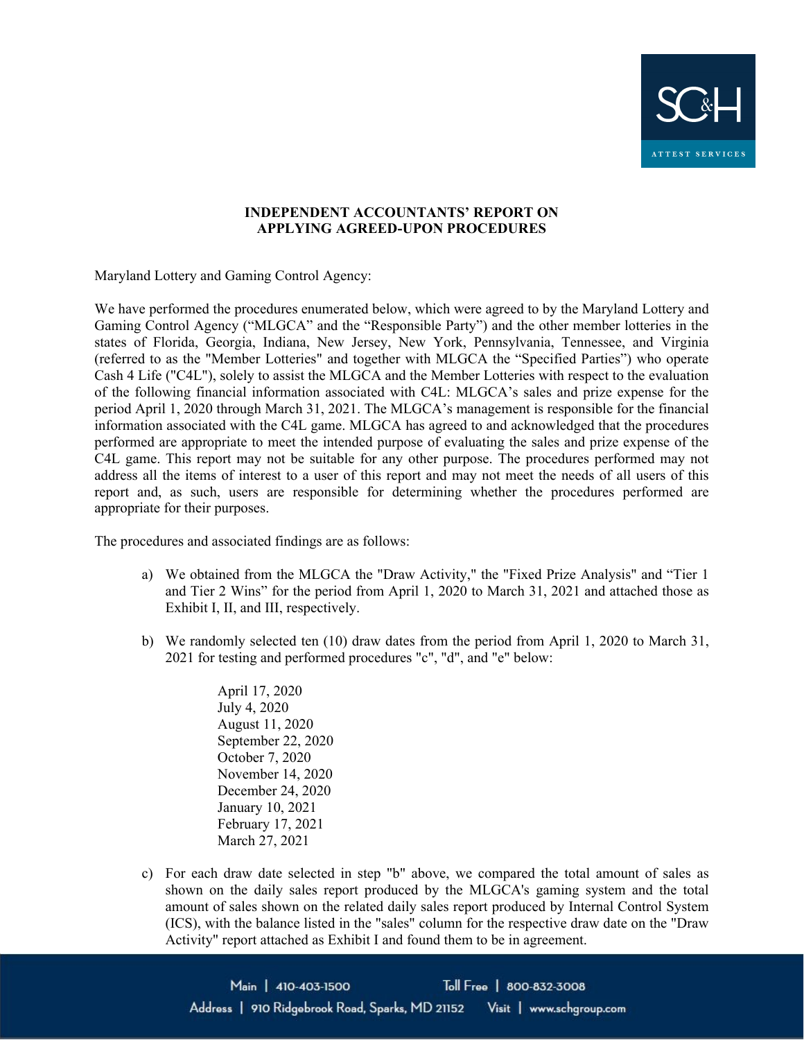

#### **INDEPENDENT ACCOUNTANTS' REPORT ON APPLYING AGREED-UPON PROCEDURES**

Maryland Lottery and Gaming Control Agency:

We have performed the procedures enumerated below, which were agreed to by the Maryland Lottery and Gaming Control Agency ("MLGCA" and the "Responsible Party") and the other member lotteries in the states of Florida, Georgia, Indiana, New Jersey, New York, Pennsylvania, Tennessee, and Virginia (referred to as the "Member Lotteries" and together with MLGCA the "Specified Parties") who operate Cash 4 Life ("C4L"), solely to assist the MLGCA and the Member Lotteries with respect to the evaluation of the following financial information associated with C4L: MLGCA's sales and prize expense for the period April 1, 2020 through March 31, 2021. The MLGCA's management is responsible for the financial information associated with the C4L game. MLGCA has agreed to and acknowledged that the procedures performed are appropriate to meet the intended purpose of evaluating the sales and prize expense of the C4L game. This report may not be suitable for any other purpose. The procedures performed may not address all the items of interest to a user of this report and may not meet the needs of all users of this report and, as such, users are responsible for determining whether the procedures performed are appropriate for their purposes.

The procedures and associated findings are as follows:

- a) We obtained from the MLGCA the "Draw Activity," the "Fixed Prize Analysis" and "Tier 1 and Tier 2 Wins" for the period from April 1, 2020 to March 31, 2021 and attached those as Exhibit I, II, and III, respectively.
- b) We randomly selected ten (10) draw dates from the period from April 1, 2020 to March 31, 2021 for testing and performed procedures "c", "d", and "e" below:

April 17, 2020 July 4, 2020 August 11, 2020 September 22, 2020 October 7, 2020 November 14, 2020 December 24, 2020 January 10, 2021 February 17, 2021 March 27, 2021

c) For each draw date selected in step "b" above, we compared the total amount of sales as shown on the daily sales report produced by the MLGCA's gaming system and the total amount of sales shown on the related daily sales report produced by Internal Control System (ICS), with the balance listed in the "sales" column for the respective draw date on the "Draw Activity" report attached as Exhibit I and found them to be in agreement.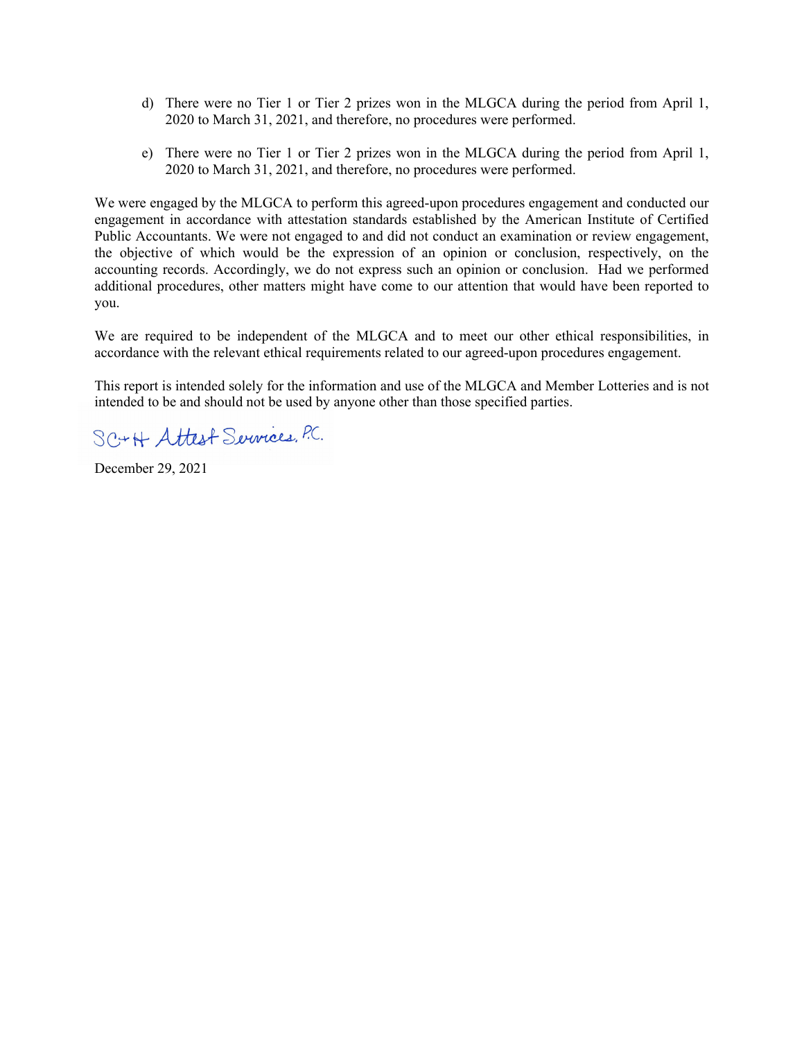- d) There were no Tier 1 or Tier 2 prizes won in the MLGCA during the period from April 1, 2020 to March 31, 2021, and therefore, no procedures were performed.
- e) There were no Tier 1 or Tier 2 prizes won in the MLGCA during the period from April 1, 2020 to March 31, 2021, and therefore, no procedures were performed.

We were engaged by the MLGCA to perform this agreed-upon procedures engagement and conducted our engagement in accordance with attestation standards established by the American Institute of Certified Public Accountants. We were not engaged to and did not conduct an examination or review engagement, the objective of which would be the expression of an opinion or conclusion, respectively, on the accounting records. Accordingly, we do not express such an opinion or conclusion. Had we performed additional procedures, other matters might have come to our attention that would have been reported to you.

We are required to be independent of the MLGCA and to meet our other ethical responsibilities, in accordance with the relevant ethical requirements related to our agreed-upon procedures engagement.

This report is intended solely for the information and use of the MLGCA and Member Lotteries and is not intended to be and should not be used by anyone other than those specified parties.

SC+H Attest Services, P.C.

December 29, 2021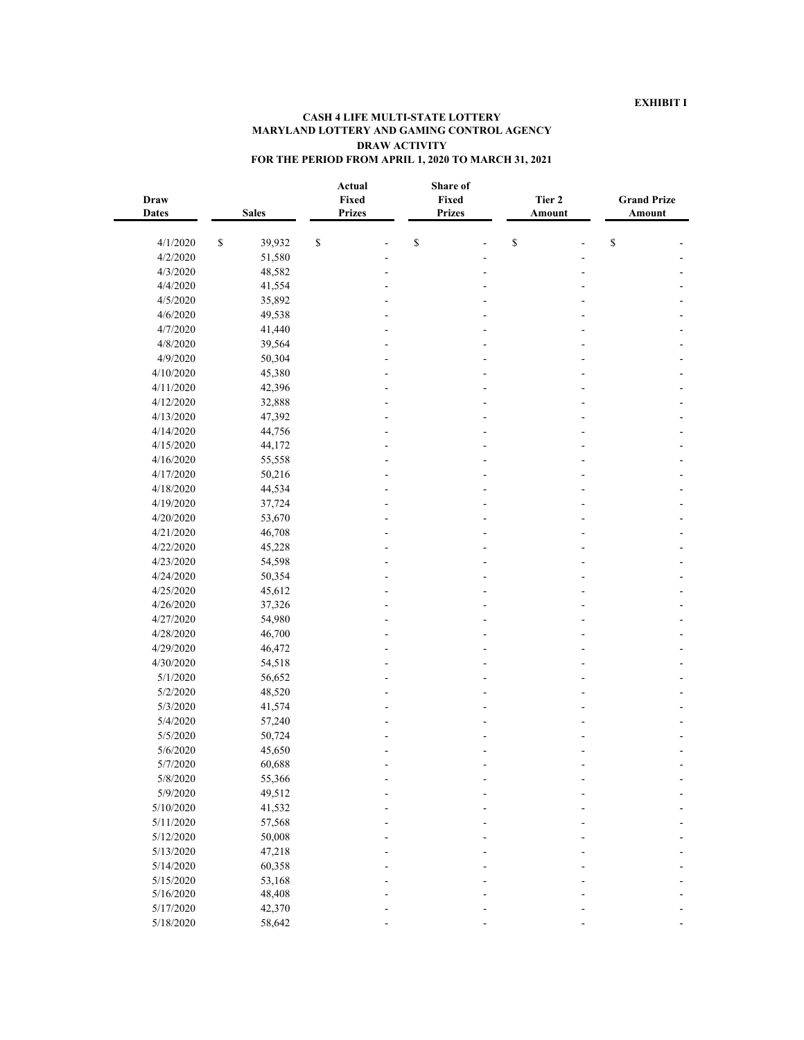| <b>Draw</b><br><b>Dates</b> |              | <b>Sales</b> | Actual<br>Fixed<br><b>Prizes</b> | Share of<br>Fixed<br><b>Prizes</b> | Tier 2<br>Amount | <b>Grand Prize</b><br>Amount      |  |
|-----------------------------|--------------|--------------|----------------------------------|------------------------------------|------------------|-----------------------------------|--|
| 4/1/2020                    | $\mathbb{S}$ | 39,932       | \$                               | \$                                 | \$               | $\mathbb{S}% _{t}\left( t\right)$ |  |
| 4/2/2020                    |              | 51,580       |                                  |                                    |                  |                                   |  |
| 4/3/2020                    |              | 48,582       |                                  |                                    |                  |                                   |  |
| 4/4/2020                    |              | 41,554       |                                  |                                    |                  |                                   |  |
| 4/5/2020                    |              | 35,892       |                                  |                                    |                  |                                   |  |
| 4/6/2020                    |              | 49,538       |                                  |                                    |                  |                                   |  |
| 4/7/2020                    |              | 41,440       |                                  |                                    |                  |                                   |  |
| 4/8/2020                    |              | 39,564       |                                  |                                    |                  |                                   |  |
| 4/9/2020                    |              | 50,304       |                                  |                                    |                  |                                   |  |
| 4/10/2020                   |              | 45,380       |                                  |                                    |                  |                                   |  |
| 4/11/2020                   |              | 42,396       |                                  |                                    |                  |                                   |  |
| 4/12/2020                   |              | 32,888       |                                  |                                    |                  |                                   |  |
| 4/13/2020                   |              | 47,392       |                                  |                                    |                  |                                   |  |
| 4/14/2020                   |              | 44,756       |                                  |                                    |                  |                                   |  |
| 4/15/2020                   |              | 44,172       |                                  |                                    |                  |                                   |  |
| 4/16/2020                   |              | 55,558       |                                  |                                    |                  |                                   |  |
| 4/17/2020                   |              | 50,216       |                                  |                                    |                  |                                   |  |
| 4/18/2020                   |              | 44,534       |                                  |                                    |                  |                                   |  |
| 4/19/2020                   |              | 37,724       |                                  |                                    |                  |                                   |  |
| 4/20/2020                   |              | 53,670       |                                  |                                    |                  |                                   |  |
| 4/21/2020                   |              | 46,708       |                                  |                                    |                  |                                   |  |
| 4/22/2020                   |              | 45,228       |                                  |                                    |                  |                                   |  |
| 4/23/2020                   |              | 54,598       |                                  |                                    |                  |                                   |  |
| 4/24/2020                   |              | 50,354       |                                  |                                    |                  |                                   |  |
| 4/25/2020                   |              | 45,612       |                                  |                                    |                  |                                   |  |
| 4/26/2020                   |              | 37,326       |                                  |                                    |                  |                                   |  |
| 4/27/2020                   |              | 54,980       |                                  |                                    |                  |                                   |  |
| 4/28/2020                   |              | 46,700       |                                  |                                    |                  |                                   |  |
| 4/29/2020                   |              | 46,472       |                                  |                                    |                  |                                   |  |
| 4/30/2020                   |              | 54,518       |                                  |                                    |                  |                                   |  |
| 5/1/2020                    |              | 56,652       |                                  |                                    |                  |                                   |  |
| 5/2/2020                    |              | 48,520       |                                  |                                    |                  |                                   |  |
| 5/3/2020                    |              | 41,574       |                                  |                                    |                  |                                   |  |
| 5/4/2020                    |              | 57,240       |                                  |                                    |                  |                                   |  |
| 5/5/2020                    |              | 50,724       |                                  |                                    |                  |                                   |  |
| 5/6/2020                    |              | 45,650       |                                  |                                    |                  |                                   |  |
| 5/7/2020                    |              | 60,688       |                                  |                                    |                  |                                   |  |
| 5/8/2020                    |              | 55,366       |                                  |                                    |                  |                                   |  |
| 5/9/2020                    |              | 49,512       |                                  |                                    |                  |                                   |  |
| 5/10/2020                   |              | 41,532       |                                  |                                    |                  |                                   |  |
| 5/11/2020                   |              | 57,568       |                                  |                                    |                  |                                   |  |
| 5/12/2020                   |              | 50,008       |                                  |                                    |                  |                                   |  |
| 5/13/2020                   |              | 47,218       |                                  |                                    |                  |                                   |  |
| 5/14/2020                   |              | 60,358       |                                  |                                    |                  |                                   |  |
| 5/15/2020                   |              | 53,168       |                                  |                                    |                  |                                   |  |
| 5/16/2020                   |              | 48,408       |                                  |                                    |                  |                                   |  |
| 5/17/2020                   |              | 42,370       |                                  |                                    |                  |                                   |  |
| 5/18/2020                   |              | 58,642       |                                  |                                    |                  |                                   |  |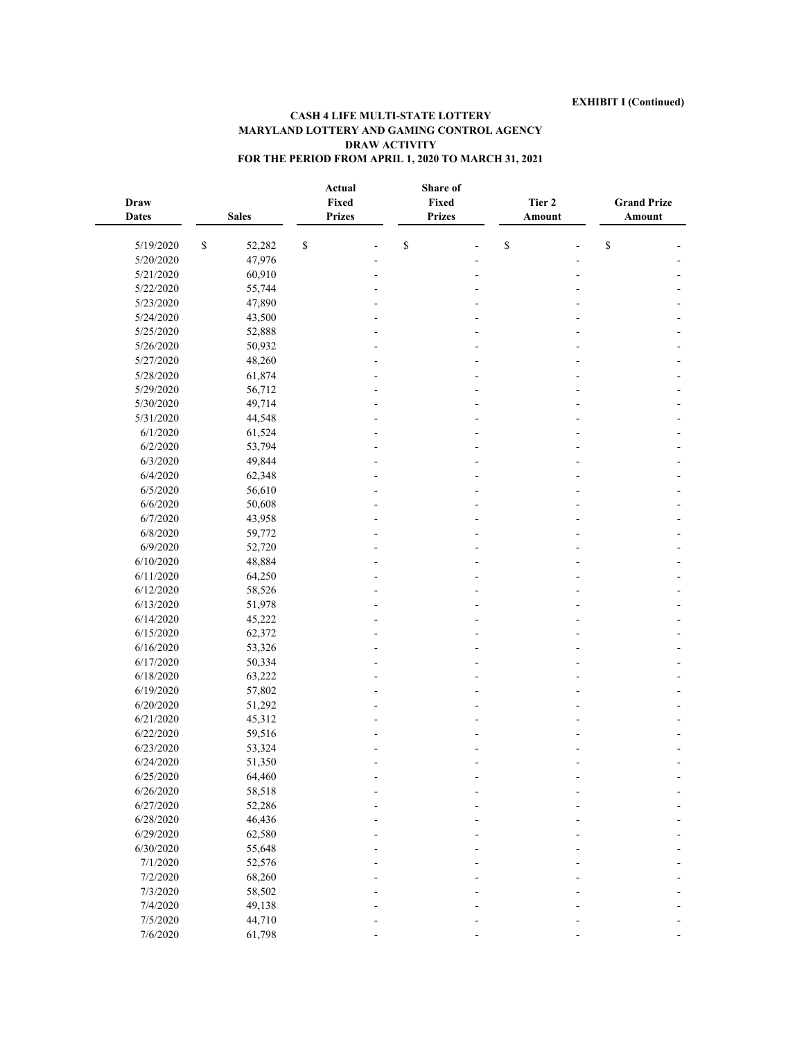| Draw<br><b>Dates</b> |              | <b>Sales</b> |              | Actual<br>Fixed<br><b>Prizes</b> | Share of<br>Fixed<br><b>Prizes</b> | Tier 2<br>Amount | <b>Grand Prize</b><br>Amount |  |
|----------------------|--------------|--------------|--------------|----------------------------------|------------------------------------|------------------|------------------------------|--|
| 5/19/2020            | $\mathbb{S}$ | 52,282       | $\mathbb{S}$ |                                  | \$                                 | $\mathbb S$      | $\mathbb S$                  |  |
| 5/20/2020            |              | 47,976       |              |                                  |                                    |                  |                              |  |
| 5/21/2020            |              | 60,910       |              |                                  |                                    |                  |                              |  |
| 5/22/2020            |              | 55,744       |              |                                  |                                    |                  |                              |  |
| 5/23/2020            |              | 47,890       |              |                                  |                                    |                  |                              |  |
| 5/24/2020            |              | 43,500       |              |                                  |                                    |                  |                              |  |
| 5/25/2020            |              | 52,888       |              |                                  |                                    |                  |                              |  |
| 5/26/2020            |              | 50,932       |              |                                  |                                    |                  |                              |  |
| 5/27/2020            |              | 48,260       |              |                                  |                                    |                  |                              |  |
| 5/28/2020            |              | 61,874       |              |                                  |                                    |                  |                              |  |
| 5/29/2020            |              | 56,712       |              |                                  |                                    |                  |                              |  |
| 5/30/2020            |              | 49,714       |              |                                  |                                    |                  |                              |  |
| 5/31/2020            |              | 44,548       |              |                                  |                                    |                  |                              |  |
| 6/1/2020             |              | 61,524       |              |                                  |                                    |                  |                              |  |
| 6/2/2020             |              | 53,794       |              |                                  |                                    |                  |                              |  |
| 6/3/2020             |              | 49,844       |              |                                  |                                    |                  |                              |  |
| 6/4/2020             |              | 62,348       |              |                                  |                                    |                  |                              |  |
| 6/5/2020             |              | 56,610       |              |                                  |                                    |                  |                              |  |
| 6/6/2020             |              | 50,608       |              |                                  |                                    |                  |                              |  |
| 6/7/2020             |              | 43,958       |              |                                  |                                    |                  |                              |  |
| 6/8/2020             |              | 59,772       |              |                                  |                                    |                  |                              |  |
|                      |              |              |              |                                  |                                    |                  |                              |  |
| 6/9/2020             |              | 52,720       |              |                                  |                                    |                  |                              |  |
| 6/10/2020            |              | 48,884       |              |                                  |                                    |                  |                              |  |
| 6/11/2020            |              | 64,250       |              |                                  |                                    |                  |                              |  |
| 6/12/2020            |              | 58,526       |              |                                  |                                    |                  |                              |  |
| 6/13/2020            |              | 51,978       |              |                                  |                                    |                  |                              |  |
| 6/14/2020            |              | 45,222       |              |                                  |                                    |                  |                              |  |
| 6/15/2020            |              | 62,372       |              |                                  |                                    |                  |                              |  |
| 6/16/2020            |              | 53,326       |              |                                  |                                    |                  |                              |  |
| 6/17/2020            |              | 50,334       |              |                                  |                                    |                  |                              |  |
| 6/18/2020            |              | 63,222       |              |                                  |                                    |                  |                              |  |
| 6/19/2020            |              | 57,802       |              |                                  |                                    |                  |                              |  |
| 6/20/2020            |              | 51,292       |              |                                  |                                    |                  |                              |  |
| 6/21/2020            |              | 45,312       |              |                                  |                                    |                  |                              |  |
| 6/22/2020            |              | 59,516       |              |                                  |                                    |                  |                              |  |
| 6/23/2020            |              | 53,324       |              |                                  |                                    |                  |                              |  |
| 6/24/2020            |              | 51,350       |              |                                  |                                    |                  |                              |  |
| 6/25/2020            |              | 64,460       |              |                                  |                                    |                  |                              |  |
| 6/26/2020            |              | 58,518       |              |                                  |                                    |                  |                              |  |
| 6/27/2020            |              | 52,286       |              |                                  |                                    |                  |                              |  |
| 6/28/2020            |              | 46,436       |              |                                  |                                    |                  |                              |  |
| 6/29/2020            |              | 62,580       |              |                                  |                                    |                  |                              |  |
| 6/30/2020            |              | 55,648       |              |                                  |                                    |                  |                              |  |
| 7/1/2020             |              | 52,576       |              |                                  |                                    |                  |                              |  |
| 7/2/2020             |              | 68,260       |              |                                  |                                    |                  |                              |  |
| 7/3/2020             |              | 58,502       |              |                                  |                                    |                  |                              |  |
| 7/4/2020             |              | 49,138       |              |                                  |                                    |                  |                              |  |
| 7/5/2020             |              | 44,710       |              |                                  |                                    |                  |                              |  |
| 7/6/2020             |              | 61,798       |              |                                  |                                    |                  |                              |  |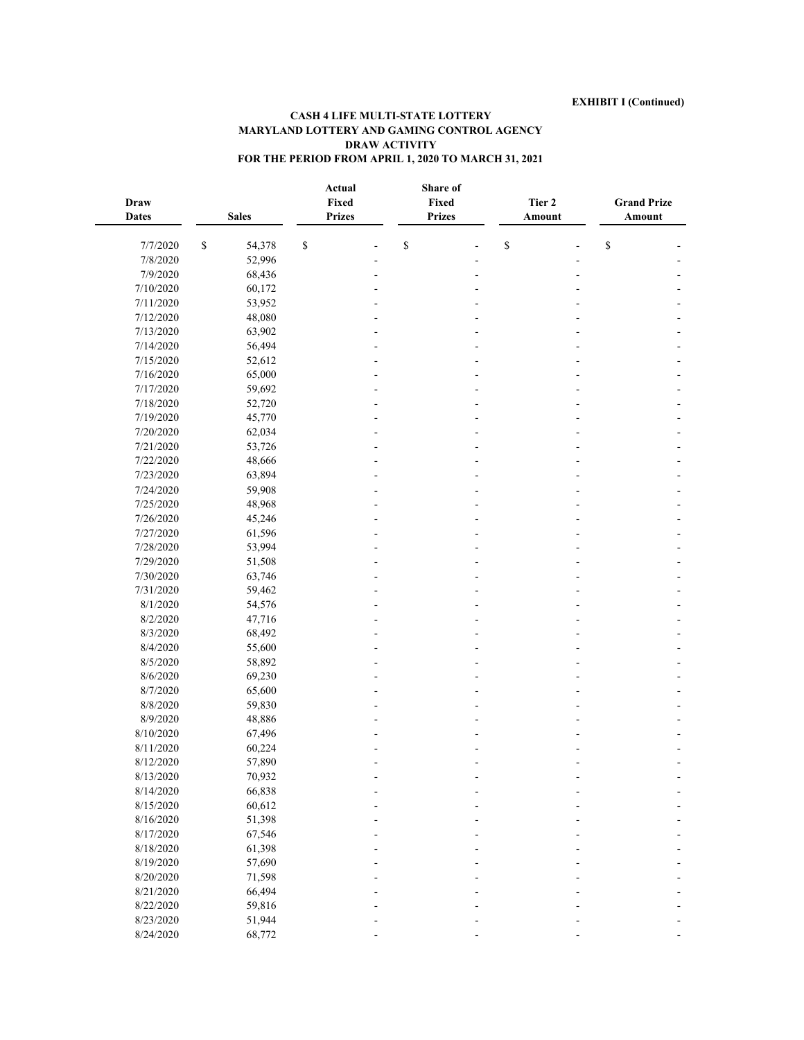| Draw<br><b>Dates</b> |              | <b>Sales</b> |              | Actual<br>Fixed<br><b>Prizes</b> | Fixed<br><b>Prizes</b> | Share of | Tier 2<br>Amount | <b>Grand Prize</b><br>Amount          |  |
|----------------------|--------------|--------------|--------------|----------------------------------|------------------------|----------|------------------|---------------------------------------|--|
| 7/7/2020             | $\mathbb{S}$ | 54,378       | $\mathbb{S}$ |                                  | \$                     |          | $\mathbb S$      | $\mathbb{S}% _{t}\left( t_{0}\right)$ |  |
| 7/8/2020             |              | 52,996       |              |                                  |                        |          |                  |                                       |  |
| 7/9/2020             |              | 68,436       |              |                                  |                        |          |                  |                                       |  |
| 7/10/2020            |              | 60,172       |              |                                  |                        |          |                  |                                       |  |
| 7/11/2020            |              | 53,952       |              |                                  |                        |          |                  |                                       |  |
| 7/12/2020            |              | 48,080       |              |                                  |                        |          |                  |                                       |  |
| 7/13/2020            |              | 63,902       |              |                                  |                        |          |                  |                                       |  |
| 7/14/2020            |              | 56,494       |              |                                  |                        |          |                  |                                       |  |
| 7/15/2020            |              | 52,612       |              |                                  |                        |          |                  |                                       |  |
| 7/16/2020            |              |              |              |                                  |                        |          |                  |                                       |  |
|                      |              | 65,000       |              |                                  |                        |          |                  |                                       |  |
| 7/17/2020            |              | 59,692       |              |                                  |                        |          |                  |                                       |  |
| 7/18/2020            |              | 52,720       |              |                                  |                        |          |                  |                                       |  |
| 7/19/2020            |              | 45,770       |              |                                  |                        |          |                  |                                       |  |
| 7/20/2020            |              | 62,034       |              |                                  |                        |          |                  |                                       |  |
| 7/21/2020            |              | 53,726       |              |                                  |                        |          |                  |                                       |  |
| 7/22/2020            |              | 48,666       |              |                                  |                        |          |                  |                                       |  |
| 7/23/2020            |              | 63,894       |              |                                  |                        |          |                  |                                       |  |
| 7/24/2020            |              | 59,908       |              |                                  |                        |          |                  |                                       |  |
| 7/25/2020            |              | 48,968       |              |                                  |                        |          |                  |                                       |  |
| 7/26/2020            |              | 45,246       |              |                                  |                        |          |                  |                                       |  |
| 7/27/2020            |              | 61,596       |              |                                  |                        |          |                  |                                       |  |
| 7/28/2020            |              | 53,994       |              |                                  |                        |          |                  |                                       |  |
| 7/29/2020            |              | 51,508       |              |                                  |                        |          |                  |                                       |  |
| 7/30/2020            |              | 63,746       |              |                                  |                        |          |                  |                                       |  |
| 7/31/2020            |              | 59,462       |              |                                  |                        |          |                  |                                       |  |
| 8/1/2020             |              | 54,576       |              |                                  |                        |          |                  |                                       |  |
| 8/2/2020             |              | 47,716       |              |                                  |                        |          |                  |                                       |  |
| 8/3/2020             |              | 68,492       |              |                                  |                        |          |                  |                                       |  |
| 8/4/2020             |              | 55,600       |              |                                  |                        |          |                  |                                       |  |
| 8/5/2020             |              | 58,892       |              |                                  |                        |          |                  |                                       |  |
| 8/6/2020             |              | 69,230       |              |                                  |                        |          |                  |                                       |  |
| 8/7/2020             |              | 65,600       |              |                                  |                        |          |                  |                                       |  |
| 8/8/2020             |              | 59,830       |              |                                  |                        |          |                  |                                       |  |
| 8/9/2020             |              | 48,886       |              |                                  |                        |          |                  |                                       |  |
| 8/10/2020            |              | 67,496       |              |                                  |                        |          |                  |                                       |  |
| 8/11/2020            |              | 60,224       |              |                                  |                        |          |                  |                                       |  |
| 8/12/2020            |              | 57,890       |              |                                  |                        |          |                  |                                       |  |
| 8/13/2020            |              | 70,932       |              |                                  |                        |          |                  |                                       |  |
| 8/14/2020            |              | 66,838       |              |                                  |                        |          |                  |                                       |  |
| 8/15/2020            |              | 60,612       |              |                                  |                        |          |                  |                                       |  |
| 8/16/2020            |              | 51,398       |              |                                  |                        |          |                  |                                       |  |
| 8/17/2020            |              | 67,546       |              |                                  |                        |          |                  |                                       |  |
| 8/18/2020            |              | 61,398       |              |                                  |                        |          |                  |                                       |  |
| 8/19/2020            |              | 57,690       |              |                                  |                        |          |                  |                                       |  |
| 8/20/2020            |              | 71,598       |              |                                  |                        |          |                  |                                       |  |
| 8/21/2020            |              | 66,494       |              |                                  |                        |          |                  |                                       |  |
| 8/22/2020            |              | 59,816       |              |                                  |                        |          |                  |                                       |  |
| 8/23/2020            |              | 51,944       |              |                                  |                        |          |                  |                                       |  |
| 8/24/2020            |              | 68,772       |              |                                  |                        |          |                  |                                       |  |
|                      |              |              |              |                                  |                        |          |                  |                                       |  |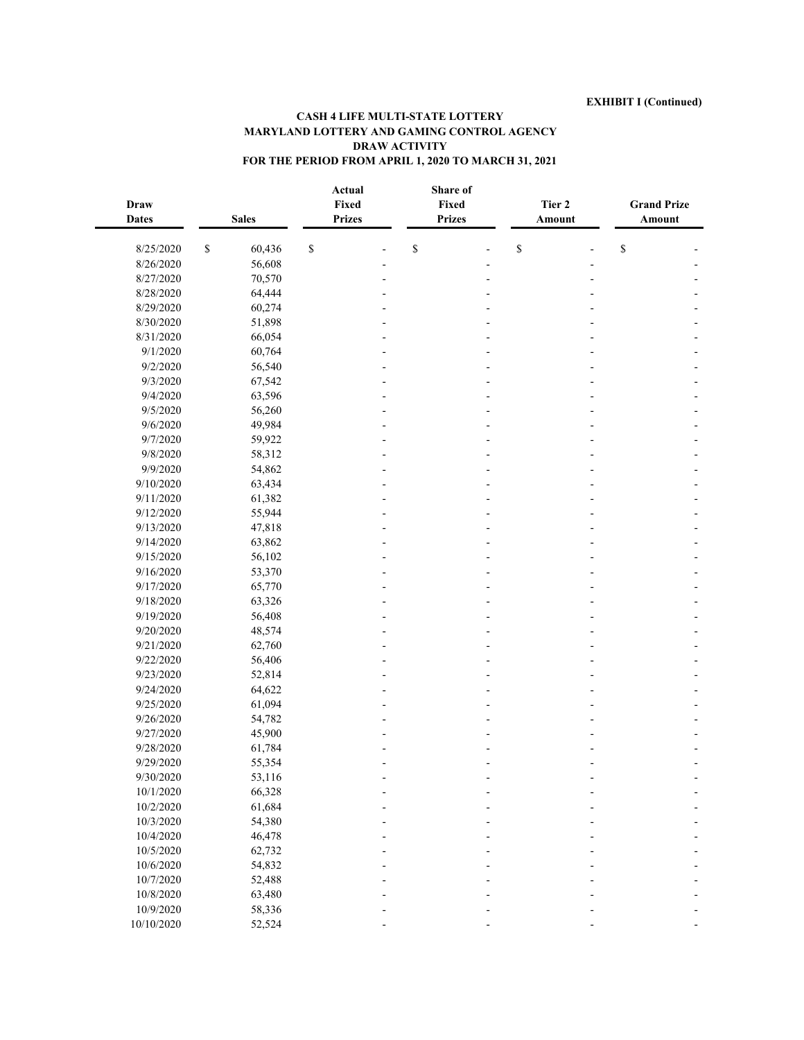| <b>Draw</b><br><b>Dates</b> |              | <b>Sales</b> | Actual<br>Fixed<br><b>Prizes</b> | Share of<br>Fixed<br><b>Prizes</b> | Tier 2<br>Amount | <b>Grand Prize</b><br>Amount |  |
|-----------------------------|--------------|--------------|----------------------------------|------------------------------------|------------------|------------------------------|--|
| 8/25/2020                   | $\mathbb{S}$ | 60,436       | \$                               | \$                                 | \$               | \$                           |  |
| 8/26/2020                   |              | 56,608       |                                  |                                    |                  |                              |  |
| 8/27/2020                   |              | 70,570       |                                  |                                    |                  |                              |  |
| 8/28/2020                   |              | 64,444       |                                  |                                    |                  |                              |  |
| 8/29/2020                   |              | 60,274       |                                  |                                    |                  |                              |  |
| 8/30/2020                   |              | 51,898       |                                  |                                    |                  |                              |  |
| 8/31/2020                   |              | 66,054       |                                  |                                    |                  |                              |  |
| 9/1/2020                    |              | 60,764       |                                  |                                    |                  |                              |  |
| 9/2/2020                    |              | 56,540       |                                  |                                    |                  |                              |  |
| 9/3/2020                    |              | 67,542       |                                  |                                    |                  |                              |  |
| 9/4/2020                    |              | 63,596       |                                  |                                    |                  |                              |  |
| 9/5/2020                    |              | 56,260       |                                  |                                    |                  |                              |  |
| 9/6/2020                    |              | 49,984       |                                  |                                    |                  |                              |  |
| 9/7/2020                    |              | 59,922       |                                  |                                    |                  |                              |  |
| 9/8/2020                    |              | 58,312       |                                  |                                    |                  |                              |  |
| 9/9/2020                    |              | 54,862       |                                  |                                    |                  |                              |  |
| 9/10/2020                   |              | 63,434       |                                  |                                    |                  |                              |  |
| 9/11/2020                   |              | 61,382       |                                  |                                    |                  |                              |  |
| 9/12/2020                   |              | 55,944       |                                  |                                    |                  |                              |  |
| 9/13/2020                   |              | 47,818       |                                  |                                    |                  |                              |  |
| 9/14/2020                   |              | 63,862       |                                  |                                    |                  |                              |  |
| 9/15/2020                   |              | 56,102       |                                  |                                    |                  |                              |  |
| 9/16/2020                   |              | 53,370       |                                  |                                    |                  |                              |  |
| 9/17/2020                   |              | 65,770       |                                  |                                    |                  |                              |  |
| 9/18/2020                   |              | 63,326       |                                  |                                    |                  |                              |  |
| 9/19/2020                   |              | 56,408       |                                  |                                    |                  |                              |  |
| 9/20/2020                   |              | 48,574       |                                  |                                    |                  |                              |  |
| 9/21/2020                   |              | 62,760       |                                  |                                    |                  |                              |  |
| 9/22/2020                   |              | 56,406       |                                  |                                    |                  |                              |  |
| 9/23/2020                   |              | 52,814       |                                  |                                    |                  |                              |  |
| 9/24/2020                   |              | 64,622       |                                  |                                    |                  |                              |  |
| 9/25/2020                   |              | 61,094       |                                  |                                    |                  |                              |  |
| 9/26/2020                   |              | 54,782       |                                  |                                    |                  |                              |  |
| 9/27/2020                   |              | 45,900       |                                  |                                    |                  |                              |  |
| 9/28/2020                   |              | 61,784       |                                  |                                    |                  |                              |  |
| 9/29/2020                   |              | 55,354       |                                  |                                    |                  |                              |  |
| 9/30/2020                   |              | 53,116       |                                  |                                    |                  |                              |  |
| 10/1/2020                   |              | 66,328       |                                  |                                    |                  |                              |  |
| 10/2/2020                   |              | 61,684       |                                  |                                    |                  |                              |  |
| 10/3/2020                   |              | 54,380       |                                  |                                    |                  |                              |  |
| 10/4/2020                   |              | 46,478       |                                  |                                    |                  |                              |  |
| 10/5/2020                   |              | 62,732       |                                  |                                    |                  |                              |  |
| 10/6/2020                   |              | 54,832       |                                  |                                    |                  |                              |  |
| 10/7/2020                   |              | 52,488       |                                  |                                    |                  |                              |  |
| 10/8/2020                   |              | 63,480       |                                  |                                    |                  |                              |  |
| 10/9/2020                   |              | 58,336       |                                  |                                    |                  |                              |  |
| 10/10/2020                  |              | 52,524       |                                  |                                    |                  |                              |  |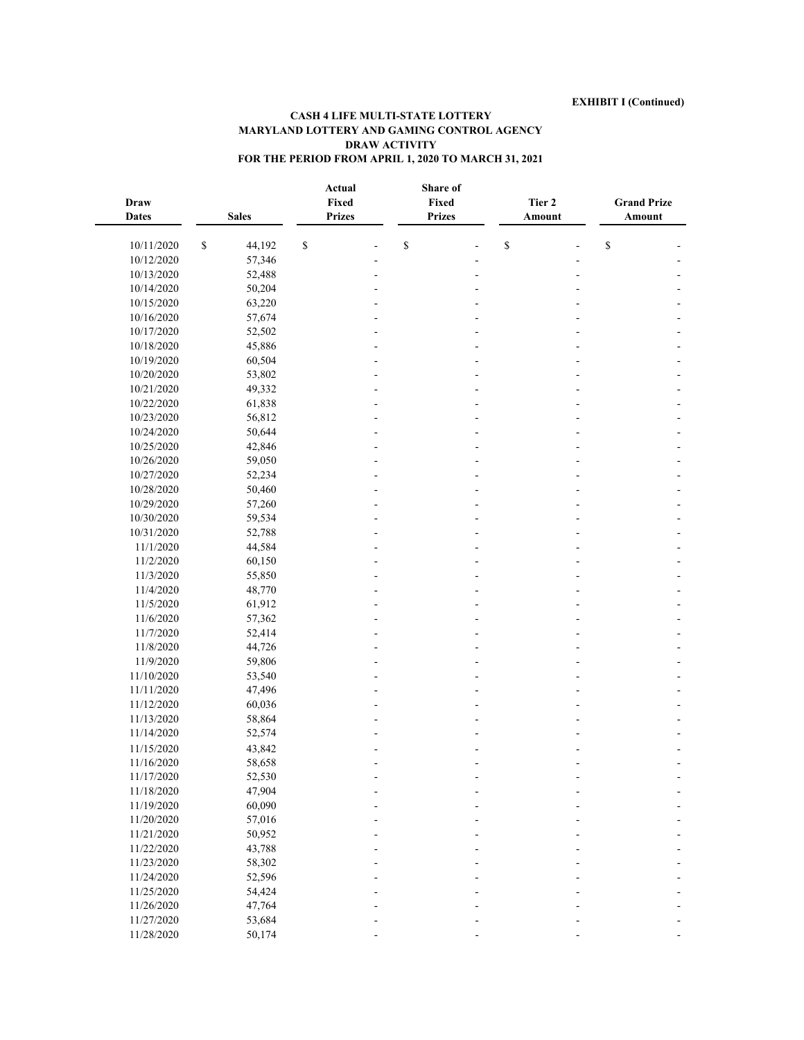| Draw<br><b>Dates</b> |              | <b>Sales</b> |              | Actual<br>Fixed<br><b>Prizes</b> | Share of<br>Fixed<br><b>Prizes</b> | Tier 2<br>Amount | <b>Grand Prize</b><br>Amount          |  |
|----------------------|--------------|--------------|--------------|----------------------------------|------------------------------------|------------------|---------------------------------------|--|
| 10/11/2020           | $\mathbb{S}$ | 44,192       | $\mathbb{S}$ |                                  | \$                                 | \$               | $\mathbb{S}% _{t}\left( t_{0}\right)$ |  |
| 10/12/2020           |              | 57,346       |              |                                  |                                    |                  |                                       |  |
| 10/13/2020           |              | 52,488       |              |                                  |                                    |                  |                                       |  |
| 10/14/2020           |              | 50,204       |              |                                  |                                    |                  |                                       |  |
| 10/15/2020           |              | 63,220       |              |                                  |                                    |                  |                                       |  |
| 10/16/2020           |              | 57,674       |              |                                  |                                    |                  |                                       |  |
| 10/17/2020           |              | 52,502       |              |                                  |                                    |                  |                                       |  |
| 10/18/2020           |              | 45,886       |              |                                  |                                    |                  |                                       |  |
| 10/19/2020           |              | 60,504       |              |                                  |                                    |                  |                                       |  |
| 10/20/2020           |              | 53,802       |              |                                  |                                    |                  |                                       |  |
| 10/21/2020           |              | 49,332       |              |                                  |                                    |                  |                                       |  |
| 10/22/2020           |              | 61,838       |              |                                  |                                    |                  |                                       |  |
| 10/23/2020           |              | 56,812       |              |                                  |                                    |                  |                                       |  |
| 10/24/2020           |              | 50,644       |              |                                  |                                    |                  |                                       |  |
| 10/25/2020           |              | 42,846       |              |                                  |                                    |                  |                                       |  |
| 10/26/2020           |              | 59,050       |              |                                  |                                    |                  |                                       |  |
| 10/27/2020           |              | 52,234       |              |                                  |                                    |                  |                                       |  |
| 10/28/2020           |              | 50,460       |              |                                  |                                    |                  |                                       |  |
| 10/29/2020           |              | 57,260       |              |                                  |                                    |                  |                                       |  |
| 10/30/2020           |              | 59,534       |              |                                  |                                    |                  |                                       |  |
| 10/31/2020           |              | 52,788       |              |                                  |                                    |                  |                                       |  |
| 11/1/2020            |              | 44,584       |              |                                  |                                    |                  |                                       |  |
| 11/2/2020            |              | 60,150       |              |                                  |                                    |                  |                                       |  |
| 11/3/2020            |              | 55,850       |              |                                  |                                    |                  |                                       |  |
| 11/4/2020            |              | 48,770       |              |                                  |                                    |                  |                                       |  |
| 11/5/2020            |              | 61,912       |              |                                  |                                    |                  |                                       |  |
| 11/6/2020            |              | 57,362       |              |                                  |                                    |                  |                                       |  |
| 11/7/2020            |              | 52,414       |              |                                  |                                    |                  |                                       |  |
| 11/8/2020            |              | 44,726       |              |                                  |                                    |                  |                                       |  |
| 11/9/2020            |              | 59,806       |              |                                  |                                    |                  |                                       |  |
| 11/10/2020           |              | 53,540       |              |                                  |                                    |                  |                                       |  |
| 11/11/2020           |              | 47,496       |              |                                  |                                    |                  |                                       |  |
| 11/12/2020           |              | 60,036       |              |                                  |                                    |                  |                                       |  |
| 11/13/2020           |              | 58,864       |              |                                  |                                    |                  |                                       |  |
| 11/14/2020           |              | 52,574       |              |                                  |                                    |                  |                                       |  |
| 11/15/2020           |              | 43,842       |              |                                  |                                    |                  |                                       |  |
| 11/16/2020           |              | 58,658       |              |                                  |                                    |                  |                                       |  |
| 11/17/2020           |              | 52,530       |              |                                  |                                    |                  |                                       |  |
| 11/18/2020           |              | 47,904       |              |                                  |                                    |                  |                                       |  |
| 11/19/2020           |              | 60,090       |              |                                  |                                    |                  |                                       |  |
| 11/20/2020           |              | 57,016       |              |                                  |                                    |                  |                                       |  |
| 11/21/2020           |              | 50,952       |              |                                  |                                    |                  |                                       |  |
| 11/22/2020           |              | 43,788       |              |                                  |                                    |                  |                                       |  |
| 11/23/2020           |              | 58,302       |              |                                  |                                    |                  |                                       |  |
| 11/24/2020           |              | 52,596       |              |                                  |                                    |                  |                                       |  |
| 11/25/2020           |              | 54,424       |              |                                  |                                    |                  |                                       |  |
| 11/26/2020           |              | 47,764       |              |                                  |                                    |                  |                                       |  |
| 11/27/2020           |              | 53,684       |              |                                  |                                    |                  |                                       |  |
| 11/28/2020           |              | 50,174       |              |                                  |                                    |                  |                                       |  |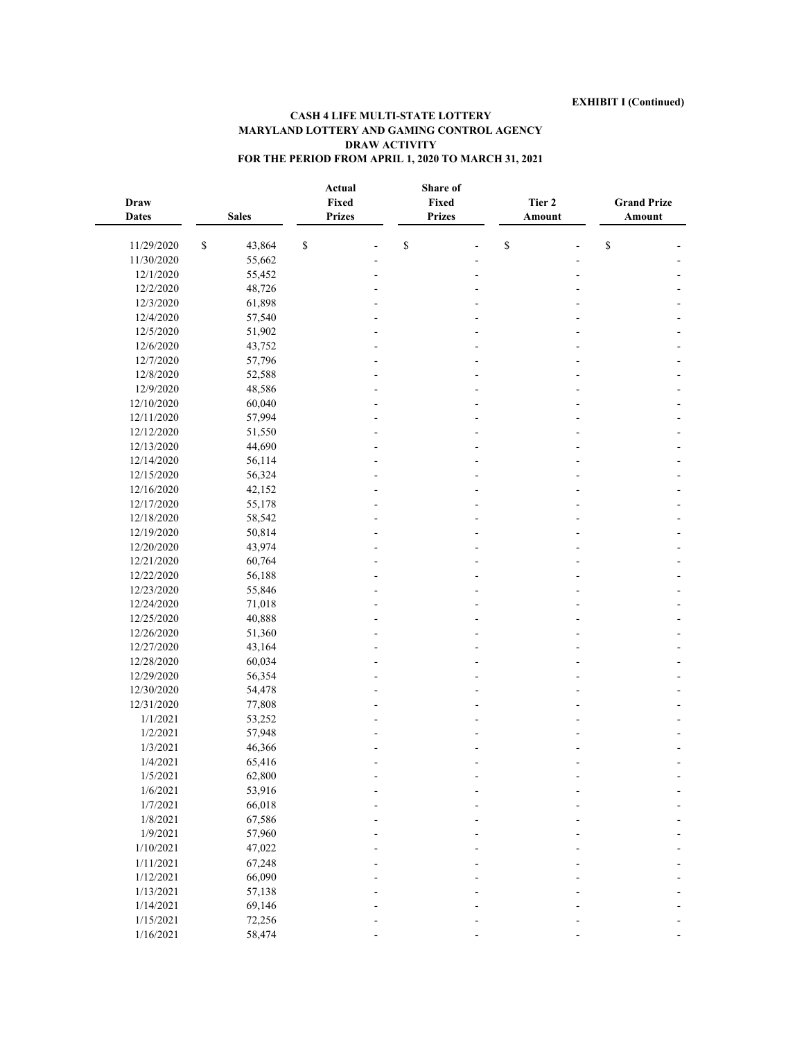| Draw<br><b>Dates</b> | <b>Sales</b> | Fixed        | Actual<br><b>Prizes</b>                                               | Share of<br>Fixed<br><b>Prizes</b> |                                                                       | Tier 2<br>Amount | <b>Grand Prize</b><br>Amount |
|----------------------|--------------|--------------|-----------------------------------------------------------------------|------------------------------------|-----------------------------------------------------------------------|------------------|------------------------------|
| 11/29/2020           | \$<br>43,864 | $\mathbb{S}$ | $\mathbb{S}% _{t}\left( t\right) \equiv\mathbb{S}_{t}\left( t\right)$ |                                    | $\mathbb{S}% _{t}\left( t\right) \equiv\mathbb{S}_{t}\left( t\right)$ |                  | ${\mathbb S}$                |
| 11/30/2020           | 55,662       |              |                                                                       |                                    |                                                                       |                  |                              |
| 12/1/2020            | 55,452       |              |                                                                       |                                    |                                                                       |                  |                              |
| 12/2/2020            | 48,726       |              |                                                                       |                                    |                                                                       |                  |                              |
| 12/3/2020            | 61,898       |              |                                                                       |                                    |                                                                       |                  |                              |
| 12/4/2020            | 57,540       |              |                                                                       |                                    |                                                                       |                  |                              |
| 12/5/2020            | 51,902       |              |                                                                       |                                    |                                                                       |                  |                              |
| 12/6/2020            | 43,752       |              |                                                                       |                                    |                                                                       |                  |                              |
| 12/7/2020            | 57,796       |              |                                                                       |                                    |                                                                       |                  |                              |
| 12/8/2020            | 52,588       |              |                                                                       |                                    |                                                                       |                  |                              |
| 12/9/2020            | 48,586       |              |                                                                       |                                    |                                                                       |                  |                              |
| 12/10/2020           | 60,040       |              |                                                                       |                                    |                                                                       |                  |                              |
| 12/11/2020           | 57,994       |              |                                                                       |                                    |                                                                       |                  |                              |
| 12/12/2020           | 51,550       |              |                                                                       |                                    |                                                                       |                  |                              |
| 12/13/2020           | 44,690       |              |                                                                       |                                    |                                                                       |                  |                              |
| 12/14/2020           | 56,114       |              |                                                                       |                                    |                                                                       |                  |                              |
| 12/15/2020           | 56,324       |              |                                                                       |                                    |                                                                       |                  |                              |
| 12/16/2020           | 42,152       |              |                                                                       |                                    |                                                                       |                  |                              |
| 12/17/2020           | 55,178       |              |                                                                       |                                    |                                                                       |                  |                              |
| 12/18/2020           | 58,542       |              |                                                                       |                                    |                                                                       |                  |                              |
| 12/19/2020           | 50,814       |              |                                                                       |                                    |                                                                       |                  |                              |
| 12/20/2020           | 43,974       |              |                                                                       |                                    |                                                                       |                  |                              |
| 12/21/2020           | 60,764       |              |                                                                       |                                    |                                                                       |                  |                              |
| 12/22/2020           | 56,188       |              |                                                                       |                                    |                                                                       |                  |                              |
| 12/23/2020           | 55,846       |              |                                                                       |                                    |                                                                       |                  |                              |
| 12/24/2020           | 71,018       |              |                                                                       |                                    |                                                                       |                  |                              |
| 12/25/2020           | 40,888       |              |                                                                       |                                    |                                                                       |                  |                              |
| 12/26/2020           | 51,360       |              |                                                                       |                                    |                                                                       |                  |                              |
| 12/27/2020           | 43,164       |              |                                                                       |                                    |                                                                       |                  |                              |
| 12/28/2020           | 60,034       |              |                                                                       |                                    |                                                                       |                  |                              |
| 12/29/2020           | 56,354       |              |                                                                       |                                    |                                                                       |                  |                              |
| 12/30/2020           | 54,478       |              |                                                                       |                                    |                                                                       |                  |                              |
| 12/31/2020           | 77,808       |              |                                                                       |                                    |                                                                       |                  |                              |
| 1/1/2021             | 53,252       |              |                                                                       |                                    |                                                                       |                  |                              |
| 1/2/2021             | 57,948       |              |                                                                       |                                    |                                                                       |                  |                              |
| 1/3/2021             | 46,366       |              |                                                                       |                                    |                                                                       |                  |                              |
| 1/4/2021             | 65,416       |              |                                                                       |                                    |                                                                       |                  |                              |
| 1/5/2021             | 62,800       |              |                                                                       |                                    |                                                                       |                  |                              |
| 1/6/2021             | 53,916       |              |                                                                       |                                    |                                                                       |                  |                              |
| 1/7/2021             | 66,018       |              |                                                                       |                                    |                                                                       |                  |                              |
| 1/8/2021             | 67,586       |              |                                                                       |                                    |                                                                       |                  |                              |
| 1/9/2021             | 57,960       |              |                                                                       |                                    |                                                                       |                  |                              |
| 1/10/2021            | 47,022       |              |                                                                       |                                    |                                                                       |                  |                              |
| 1/11/2021            | 67,248       |              |                                                                       |                                    |                                                                       |                  |                              |
| 1/12/2021            | 66,090       |              |                                                                       |                                    |                                                                       |                  |                              |
| 1/13/2021            | 57,138       |              |                                                                       |                                    |                                                                       |                  |                              |
| 1/14/2021            | 69,146       |              |                                                                       |                                    |                                                                       |                  |                              |
| 1/15/2021            | 72,256       |              |                                                                       |                                    |                                                                       |                  |                              |
| 1/16/2021            | 58,474       |              |                                                                       |                                    |                                                                       |                  |                              |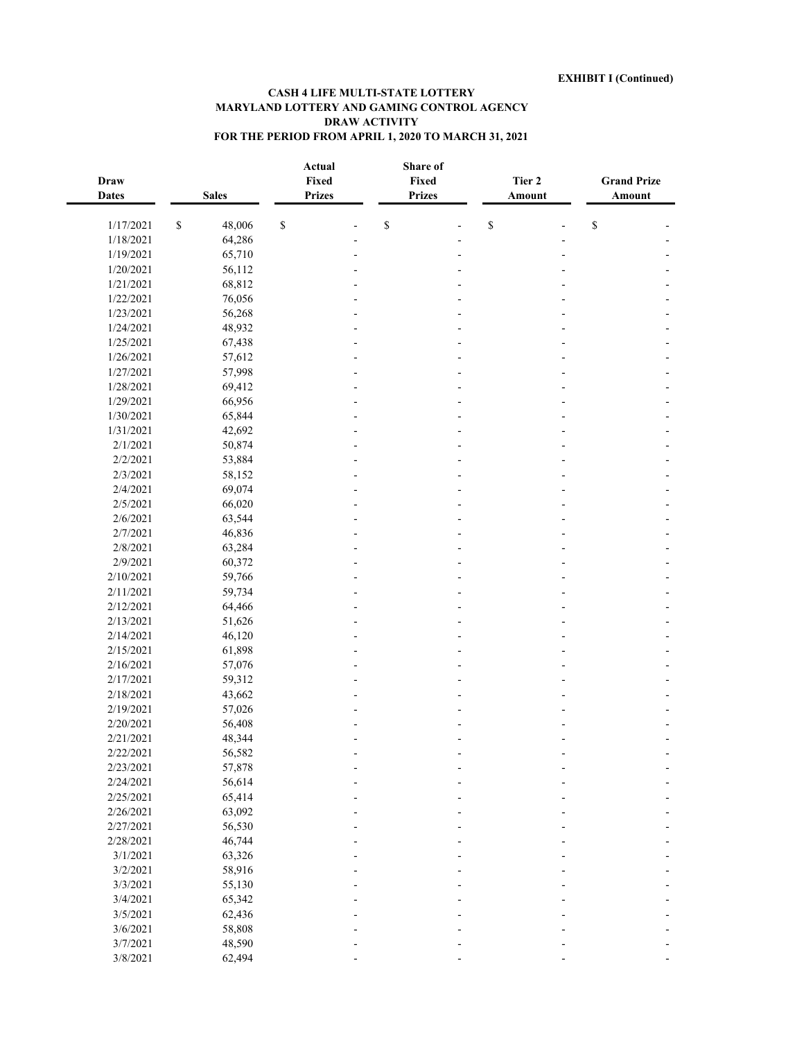| <b>Draw</b><br><b>Dates</b> | <b>Sales</b>     |               | Actual<br>Fixed<br><b>Prizes</b> | Share of<br>Fixed<br><b>Prizes</b> | Tier 2                                                                | Amount | <b>Grand Prize</b><br>Amount |  |
|-----------------------------|------------------|---------------|----------------------------------|------------------------------------|-----------------------------------------------------------------------|--------|------------------------------|--|
| 1/17/2021                   | \$<br>48,006     | ${\mathbb S}$ |                                  | \$                                 | $\mathbb{S}% _{t}\left( t\right) \equiv\mathbb{S}_{t}\left( t\right)$ | L,     | \$                           |  |
| 1/18/2021                   | 64,286           |               |                                  |                                    |                                                                       |        |                              |  |
| 1/19/2021                   | 65,710           |               |                                  |                                    |                                                                       |        |                              |  |
| 1/20/2021                   | 56,112           |               |                                  |                                    |                                                                       |        |                              |  |
| 1/21/2021                   | 68,812           |               |                                  |                                    |                                                                       |        |                              |  |
| 1/22/2021                   | 76,056           |               |                                  |                                    |                                                                       |        |                              |  |
| 1/23/2021                   | 56,268           |               |                                  |                                    |                                                                       |        |                              |  |
| 1/24/2021                   | 48,932           |               |                                  |                                    |                                                                       |        |                              |  |
| 1/25/2021                   | 67,438           |               |                                  |                                    |                                                                       |        |                              |  |
| 1/26/2021                   | 57,612           |               |                                  |                                    |                                                                       |        |                              |  |
| 1/27/2021                   | 57,998           |               |                                  |                                    |                                                                       |        |                              |  |
| 1/28/2021                   | 69,412           |               |                                  |                                    |                                                                       |        |                              |  |
| 1/29/2021                   | 66,956           |               |                                  |                                    |                                                                       |        |                              |  |
| 1/30/2021                   | 65,844           |               |                                  |                                    |                                                                       |        |                              |  |
| 1/31/2021                   | 42,692           |               |                                  |                                    |                                                                       |        |                              |  |
| 2/1/2021                    | 50,874           |               |                                  |                                    |                                                                       |        |                              |  |
| 2/2/2021                    | 53,884           |               |                                  |                                    |                                                                       |        |                              |  |
| 2/3/2021                    | 58,152           |               |                                  |                                    |                                                                       |        |                              |  |
| 2/4/2021                    | 69,074           |               |                                  |                                    |                                                                       |        |                              |  |
| 2/5/2021                    | 66,020           |               |                                  |                                    |                                                                       |        |                              |  |
| 2/6/2021                    | 63,544           |               |                                  |                                    |                                                                       |        |                              |  |
| 2/7/2021                    | 46,836           |               |                                  |                                    |                                                                       |        |                              |  |
| 2/8/2021                    | 63,284           |               |                                  |                                    |                                                                       |        |                              |  |
| 2/9/2021                    | 60,372           |               |                                  |                                    |                                                                       |        |                              |  |
| 2/10/2021                   | 59,766           |               |                                  |                                    |                                                                       |        |                              |  |
| 2/11/2021                   | 59,734           |               |                                  |                                    |                                                                       |        |                              |  |
| 2/12/2021                   | 64,466           |               |                                  |                                    |                                                                       |        |                              |  |
| 2/13/2021                   | 51,626           |               |                                  |                                    |                                                                       |        |                              |  |
| 2/14/2021                   | 46,120           |               |                                  |                                    |                                                                       |        |                              |  |
| 2/15/2021                   | 61,898           |               |                                  |                                    |                                                                       |        |                              |  |
| 2/16/2021                   | 57,076           |               |                                  |                                    |                                                                       |        |                              |  |
| 2/17/2021                   | 59,312           |               |                                  |                                    |                                                                       |        |                              |  |
| 2/18/2021                   | 43,662           |               |                                  |                                    |                                                                       |        |                              |  |
| 2/19/2021                   | 57,026           |               |                                  |                                    |                                                                       |        |                              |  |
| 2/20/2021                   | 56,408           |               |                                  |                                    |                                                                       |        |                              |  |
| 2/21/2021                   | 48,344           |               |                                  |                                    |                                                                       |        |                              |  |
| 2/22/2021                   | 56,582           |               |                                  |                                    |                                                                       |        |                              |  |
| 2/23/2021                   | 57,878           |               |                                  |                                    |                                                                       |        |                              |  |
| 2/24/2021                   | 56,614           |               |                                  |                                    |                                                                       |        |                              |  |
| 2/25/2021                   | 65,414           |               |                                  |                                    |                                                                       |        |                              |  |
| 2/26/2021                   | 63,092           |               |                                  |                                    |                                                                       |        |                              |  |
| 2/27/2021                   | 56,530           |               |                                  |                                    |                                                                       |        |                              |  |
| 2/28/2021<br>3/1/2021       | 46,744           |               |                                  |                                    |                                                                       |        |                              |  |
|                             | 63,326           |               |                                  |                                    |                                                                       |        |                              |  |
| 3/2/2021<br>3/3/2021        | 58,916<br>55,130 |               |                                  |                                    |                                                                       |        |                              |  |
| 3/4/2021                    | 65,342           |               |                                  |                                    |                                                                       |        |                              |  |
| 3/5/2021                    | 62,436           |               |                                  |                                    |                                                                       |        |                              |  |
| 3/6/2021                    | 58,808           |               |                                  |                                    |                                                                       |        |                              |  |
| 3/7/2021                    | 48,590           |               |                                  |                                    |                                                                       |        |                              |  |
| 3/8/2021                    | 62,494           |               |                                  |                                    |                                                                       |        |                              |  |
|                             |                  |               |                                  |                                    |                                                                       |        |                              |  |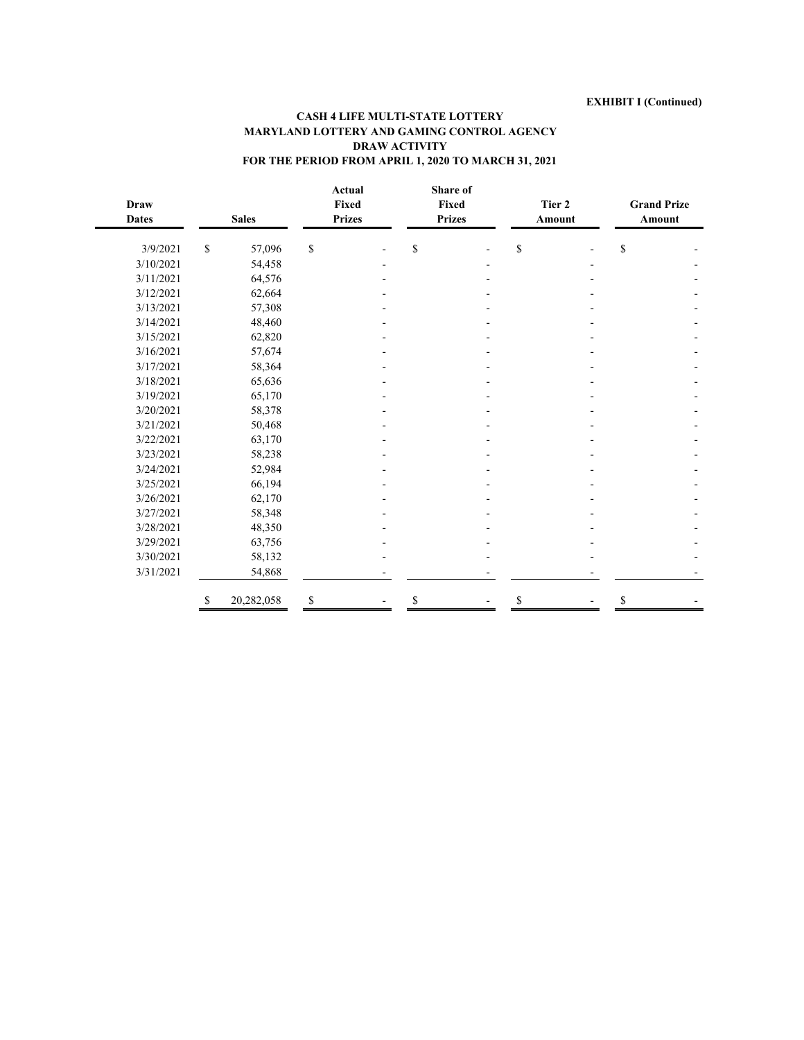| <b>Draw</b><br><b>Dates</b> |             | <b>Sales</b> | <b>Prizes</b> | Actual<br>Fixed | Share of<br>Fixed<br><b>Prizes</b> | Tier 2<br>Amount | <b>Grand Prize</b><br>Amount |  |
|-----------------------------|-------------|--------------|---------------|-----------------|------------------------------------|------------------|------------------------------|--|
| 3/9/2021                    | $\mathbb S$ | 57,096       | \$            |                 | \$                                 | \$               | \$                           |  |
| 3/10/2021                   |             | 54,458       |               |                 |                                    |                  |                              |  |
| 3/11/2021                   |             | 64,576       |               |                 |                                    |                  |                              |  |
| 3/12/2021                   |             | 62,664       |               |                 |                                    |                  |                              |  |
| 3/13/2021                   |             | 57,308       |               |                 |                                    |                  |                              |  |
| 3/14/2021                   |             | 48,460       |               |                 |                                    |                  |                              |  |
| 3/15/2021                   |             | 62,820       |               |                 |                                    |                  |                              |  |
| 3/16/2021                   |             | 57,674       |               |                 |                                    |                  |                              |  |
| 3/17/2021                   |             | 58,364       |               |                 |                                    |                  |                              |  |
| 3/18/2021                   |             | 65,636       |               |                 |                                    |                  |                              |  |
| 3/19/2021                   |             | 65,170       |               |                 |                                    |                  |                              |  |
| 3/20/2021                   |             | 58,378       |               |                 |                                    |                  |                              |  |
| 3/21/2021                   |             | 50,468       |               |                 |                                    |                  |                              |  |
| 3/22/2021                   |             | 63,170       |               |                 |                                    |                  |                              |  |
| 3/23/2021                   |             | 58,238       |               |                 |                                    |                  |                              |  |
| 3/24/2021                   |             | 52,984       |               |                 |                                    |                  |                              |  |
| 3/25/2021                   |             | 66,194       |               |                 |                                    |                  |                              |  |
| 3/26/2021                   |             | 62,170       |               |                 |                                    |                  |                              |  |
| 3/27/2021                   |             | 58,348       |               |                 |                                    |                  |                              |  |
| 3/28/2021                   |             | 48,350       |               |                 |                                    |                  |                              |  |
| 3/29/2021                   |             | 63,756       |               |                 |                                    |                  |                              |  |
| 3/30/2021                   |             | 58,132       |               |                 |                                    |                  |                              |  |
| 3/31/2021                   |             | 54,868       |               |                 |                                    |                  |                              |  |
|                             | S           | 20,282,058   | \$            |                 | \$                                 | \$               | S                            |  |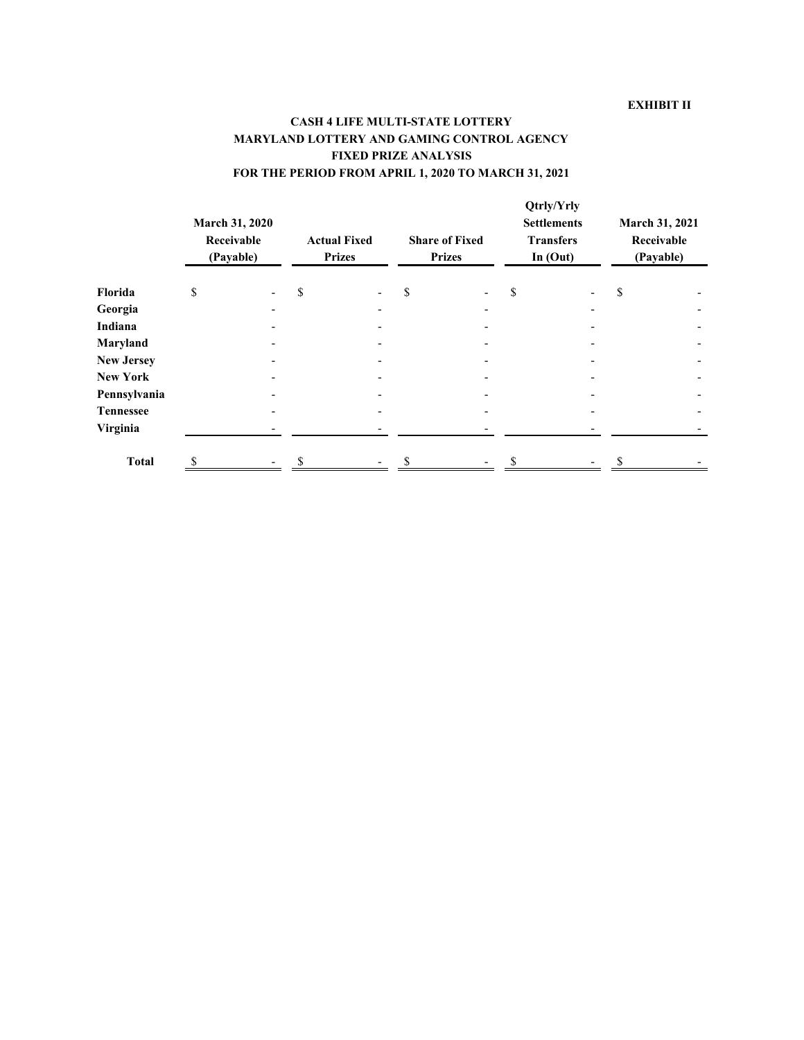|                   | March 31, 2020<br>Receivable<br>(Payable) | <b>Actual Fixed</b><br><b>Prizes</b> | <b>Share of Fixed</b><br><b>Prizes</b> | Qtrly/Yrly<br><b>Settlements</b><br><b>Transfers</b><br>In $(Out)$ | March 31, 2021<br>Receivable<br>(Payable) |  |
|-------------------|-------------------------------------------|--------------------------------------|----------------------------------------|--------------------------------------------------------------------|-------------------------------------------|--|
| Florida           | \$                                        | \$                                   | \$                                     | \$                                                                 | \$                                        |  |
| Georgia           |                                           |                                      |                                        |                                                                    |                                           |  |
| Indiana           |                                           |                                      |                                        |                                                                    |                                           |  |
| Maryland          |                                           |                                      |                                        |                                                                    |                                           |  |
| <b>New Jersey</b> |                                           |                                      |                                        |                                                                    |                                           |  |
| <b>New York</b>   |                                           |                                      |                                        |                                                                    |                                           |  |
| Pennsylvania      |                                           |                                      |                                        |                                                                    |                                           |  |
| <b>Tennessee</b>  |                                           |                                      |                                        |                                                                    |                                           |  |
| Virginia          |                                           |                                      |                                        |                                                                    |                                           |  |
| <b>Total</b>      |                                           |                                      |                                        |                                                                    |                                           |  |